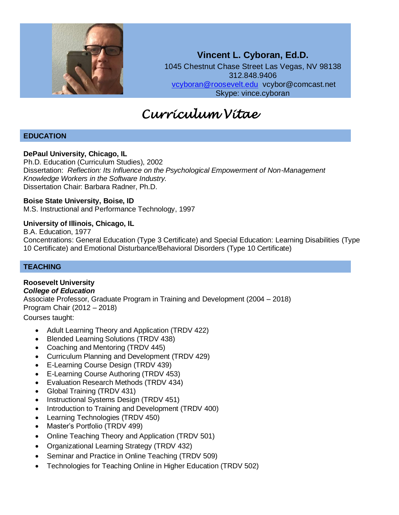

**Vincent L. Cyboran, Ed.D.** 1045 Chestnut Chase Street Las Vegas, NV 98138 312.848.9406 [vcyboran@roosevelt.edu](mailto:vcyboran@roosevelt.edu) vcybor@comcast.net Skype: vince.cyboran

# *Curriculum Vitae*

# **EDUCATION**

#### **DePaul University, Chicago, IL**

Ph.D. Education (Curriculum Studies), 2002 Dissertation: *Reflection: Its Influence on the Psychological Empowerment of Non-Management Knowledge Workers in the Software Industry.* Dissertation Chair: Barbara Radner, Ph.D.

#### **Boise State University, Boise, ID**

M.S. Instructional and Performance Technology, 1997

# **University of Illinois, Chicago, IL**

B.A. Education, 1977 Concentrations: General Education (Type 3 Certificate) and Special Education: Learning Disabilities (Type 10 Certificate) and Emotional Disturbance/Behavioral Disorders (Type 10 Certificate)

# **TEACHING**

#### **Roosevelt University** *College of Education*

Associate Professor, Graduate Program in Training and Development (2004 – 2018) Program Chair (2012 – 2018)

Courses taught:

- Adult Learning Theory and Application (TRDV 422)
- Blended Learning Solutions (TRDV 438)
- Coaching and Mentoring (TRDV 445)
- Curriculum Planning and Development (TRDV 429)
- E-Learning Course Design (TRDV 439)
- E-Learning Course Authoring (TRDV 453)
- Evaluation Research Methods (TRDV 434)
- Global Training (TRDV 431)
- Instructional Systems Design (TRDV 451)
- Introduction to Training and Development (TRDV 400)
- Learning Technologies (TRDV 450)
- Master's Portfolio (TRDV 499)
- Online Teaching Theory and Application (TRDV 501)
- Organizational Learning Strategy (TRDV 432)
- Seminar and Practice in Online Teaching (TRDV 509)
- Technologies for Teaching Online in Higher Education (TRDV 502)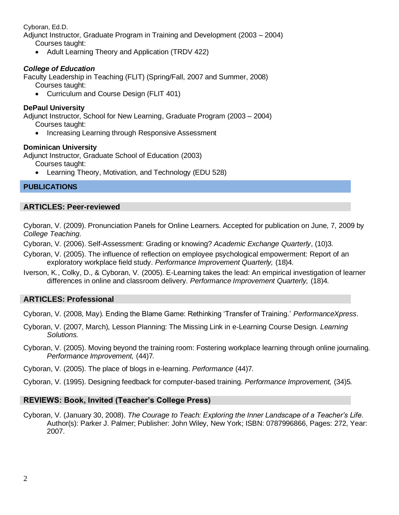Cyboran, Ed.D.

Adjunct Instructor, Graduate Program in Training and Development (2003 – 2004) Courses taught:

• Adult Learning Theory and Application (TRDV 422)

# *College of Education*

Faculty Leadership in Teaching (FLIT) (Spring/Fall, 2007 and Summer, 2008)

- Courses taught:
- Curriculum and Course Design (FLIT 401)

# **DePaul University**

Adjunct Instructor, School for New Learning, Graduate Program (2003 – 2004) Courses taught:

• Increasing Learning through Responsive Assessment

# **Dominican University**

Adjunct Instructor, Graduate School of Education (2003)

Courses taught:

• Learning Theory, Motivation, and Technology (EDU 528)

# **PUBLICATIONS**

# **ARTICLES: Peer-reviewed**

Cyboran, V. (2009). Pronunciation Panels for Online Learners. Accepted for publication on June, 7, 2009 by *College Teaching*.

Cyboran, V. (2006). Self-Assessment: Grading or knowing? *Academic Exchange Quarterly*, (10)3.

- Cyboran, V. (2005). The influence of reflection on employee psychological empowerment: Report of an exploratory workplace field study. *Performance Improvement Quarterly,* (18)4*.*
- Iverson, K., Colky, D., & Cyboran, V. (2005). E-Learning takes the lead: An empirical investigation of learner differences in online and classroom delivery. *Performance Improvement Quarterly,* (18)4*.*

# **ARTICLES: Professional**

Cyboran, V. (2008, May). Ending the Blame Game: Rethinking 'Transfer of Training.' *PerformanceXpress*.

- Cyboran, V. (2007, March), Lesson Planning: The Missing Link in e-Learning Course Design. *Learning Solutions.*
- Cyboran, V. (2005). Moving beyond the training room: Fostering workplace learning through online journaling. *Performance Improvement,* (44)7*.*

Cyboran, V. (2005). The place of blogs in e-learning. *Performance* (44)7*.*

Cyboran, V. (1995). Designing feedback for computer-based training. *Performance Improvement,* (34)5*.*

# **REVIEWS: Book, Invited (Teacher's College Press)**

Cyboran, V. (January 30, 2008). *The Courage to Teach: Exploring the Inner Landscape of a Teacher's Life*. Author(s): Parker J. Palmer; Publisher: John Wiley, New York; ISBN: 0787996866, Pages: 272, Year: 2007.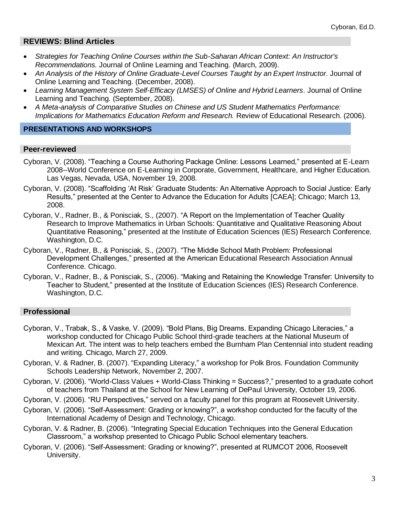# **REVIEWS: Blind Articles**

- *Strategies for Teaching Online Courses within the Sub-Saharan African Context: An Instructor's Recommendations.* Journal of Online Learning and Teaching. (March, 2009).
- *An Analysis of the History of Online Graduate-Level Courses Taught by an Expert Instructor.* Journal of Online Learning and Teaching. (December, 2008).
- *Learning Management System Self-Efficacy (LMSES) of Online and Hybrid Learners.* Journal of Online Learning and Teaching. (September, 2008).
- *A Meta-analysis of Comparative Studies on Chinese and US Student Mathematics Performance: Implications for Mathematics Education Reform and Research. Review of Educational Research. (2006).*

#### **PRESENTATIONS AND WORKSHOPS**

# **Peer-reviewed**

- Cyboran, V. (2008). "Teaching a Course Authoring Package Online: Lessons Learned," presented at E-Learn 2008--World Conference on E-Learning in Corporate, Government, Healthcare, and Higher Education. Las Vegas, Nevada, USA, November 19, 2008.
- Cyboran, V. (2008). "Scaffolding 'At Risk' Graduate Students: An Alternative Approach to Social Justice: Early Results," presented at the Center to Advance the Education for Adults [CAEA]; Chicago; March 13, 2008.
- Cyboran, V., Radner, B., & Ponisciak, S., (2007). "A Report on the Implementation of Teacher Quality Research to Improve Mathematics in Urban Schools: Quantitative and Qualitative Reasoning About Quantitative Reasoning," presented at the Institute of Education Sciences (IES) Research Conference. Washington, D.C.
- Cyboran, V., Radner, B., & Ponisciak, S., (2007). "The Middle School Math Problem: Professional Development Challenges," presented at the American Educational Research Association Annual Conference. Chicago.
- Cyboran, V., Radner, B., & Ponisciak, S., (2006). "Making and Retaining the Knowledge Transfer: University to Teacher to Student," presented at the Institute of Education Sciences (IES) Research Conference. Washington, D.C.

# **Professional**

- Cyboran, V., Trabak, S., & Vaske, V. (2009). "Bold Plans, Big Dreams. Expanding Chicago Literacies," a workshop conducted for Chicago Public School third-grade teachers at the National Museum of Mexican Art. The intent was to help teachers embed the Burnham Plan Centennial into student reading and writing. Chicago, March 27, 2009.
- Cyboran, V. & Radner, B. (2007). "Expanding Literacy," a workshop for Polk Bros. Foundation Community Schools Leadership Network, November 2, 2007.
- Cyboran, V. (2006). "World-Class Values + World-Class Thinking = Success?," presented to a graduate cohort of teachers from Thailand at the School for New Learning of DePaul University, October 19, 2006.
- Cyboran, V. (2006). "RU Perspectives," served on a faculty panel for this program at Roosevelt University.
- Cyboran, V. (2006). "Self-Assessment: Grading or knowing?", a workshop conducted for the faculty of the International Academy of Design and Technology, Chicago.
- Cyboran, V. & Radner, B. (2006). "Integrating Special Education Techniques into the General Education Classroom," a workshop presented to Chicago Public School elementary teachers.
- Cyboran, V. (2006). "Self-Assessment: Grading or knowing?", presented at RUMCOT 2006, Roosevelt University.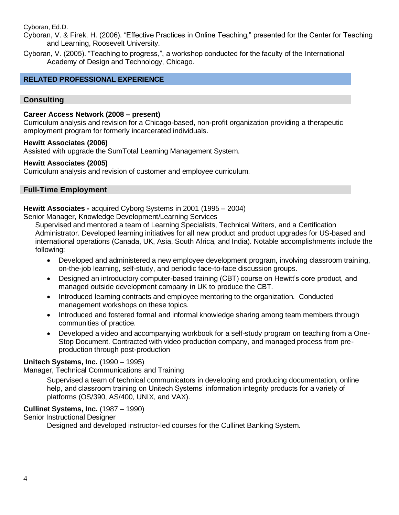Cyboran, Ed.D.

Cyboran, V. & Firek, H. (2006). "Effective Practices in Online Teaching," presented for the Center for Teaching and Learning, Roosevelt University.

Cyboran, V. (2005). "Teaching to progress,", a workshop conducted for the faculty of the International Academy of Design and Technology, Chicago.

#### **RELATED PROFESSIONAL EXPERIENCE**

#### **Consulting**

#### **Career Access Network (2008 – present)**

Curriculum analysis and revision for a Chicago-based, non-profit organization providing a therapeutic employment program for formerly incarcerated individuals.

#### **Hewitt Associates (2006)**

Assisted with upgrade the SumTotal Learning Management System.

#### **Hewitt Associates (2005)**

Curriculum analysis and revision of customer and employee curriculum.

#### **Full-Time Employment**

#### **Hewitt Associates -** acquired Cyborg Systems in 2001 (1995 – 2004)

Senior Manager, Knowledge Development/Learning Services

Supervised and mentored a team of Learning Specialists, Technical Writers, and a Certification Administrator. Developed learning initiatives for all new product and product upgrades for US-based and international operations (Canada, UK, Asia, South Africa, and India). Notable accomplishments include the following:

- Developed and administered a new employee development program, involving classroom training, on-the-job learning, self-study, and periodic face-to-face discussion groups.
- Designed an introductory computer-based training (CBT) course on Hewitt's core product, and managed outside development company in UK to produce the CBT.
- Introduced learning contracts and employee mentoring to the organization. Conducted management workshops on these topics.
- Introduced and fostered formal and informal knowledge sharing among team members through communities of practice.
- Developed a video and accompanying workbook for a self-study program on teaching from a One-Stop Document. Contracted with video production company, and managed process from preproduction through post-production

#### **Unitech Systems, Inc.** (1990 – 1995)

Manager, Technical Communications and Training

Supervised a team of technical communicators in developing and producing documentation, online help, and classroom training on Unitech Systems' information integrity products for a variety of platforms (OS/390, AS/400, UNIX, and VAX).

#### **Cullinet Systems, Inc.** (1987 – 1990)

Senior Instructional Designer

Designed and developed instructor-led courses for the Cullinet Banking System.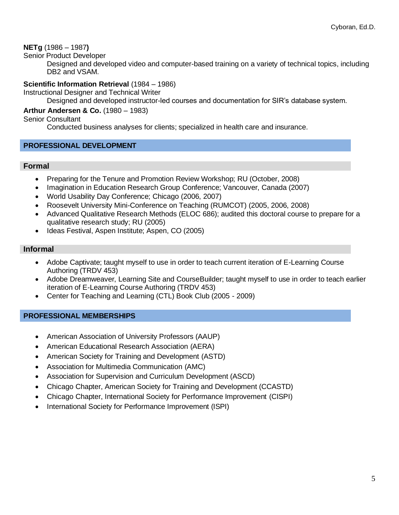# **NETg** (1986 – 1987**)**

Senior Product Developer

Designed and developed video and computer-based training on a variety of technical topics, including DB2 and VSAM.

#### **Scientific Information Retrieval** (1984 – 1986)

Instructional Designer and Technical Writer

Designed and developed instructor-led courses and documentation for SIR's database system.

## **Arthur Andersen & Co.** (1980 – 1983)

Senior Consultant

Conducted business analyses for clients; specialized in health care and insurance.

#### **PROFESSIONAL DEVELOPMENT**

#### **Formal**

- Preparing for the Tenure and Promotion Review Workshop; RU (October, 2008)
- Imagination in Education Research Group Conference; Vancouver, Canada (2007)
- World Usability Day Conference; Chicago (2006, 2007)
- Roosevelt University Mini-Conference on Teaching (RUMCOT) (2005, 2006, 2008)
- Advanced Qualitative Research Methods (ELOC 686); audited this doctoral course to prepare for a qualitative research study; RU (2005)
- Ideas Festival, Aspen Institute; Aspen, CO (2005)

#### **Informal**

- Adobe Captivate; taught myself to use in order to teach current iteration of E-Learning Course Authoring (TRDV 453)
- Adobe Dreamweaver, Learning Site and CourseBuilder; taught myself to use in order to teach earlier iteration of E-Learning Course Authoring (TRDV 453)
- Center for Teaching and Learning (CTL) Book Club (2005 2009)

#### **PROFESSIONAL MEMBERSHIPS**

- American Association of University Professors (AAUP)
- American Educational Research Association (AERA)
- American Society for Training and Development (ASTD)
- Association for Multimedia Communication (AMC)
- Association for Supervision and Curriculum Development (ASCD)
- Chicago Chapter, American Society for Training and Development (CCASTD)
- Chicago Chapter, International Society for Performance Improvement (CISPI)
- International Society for Performance Improvement (ISPI)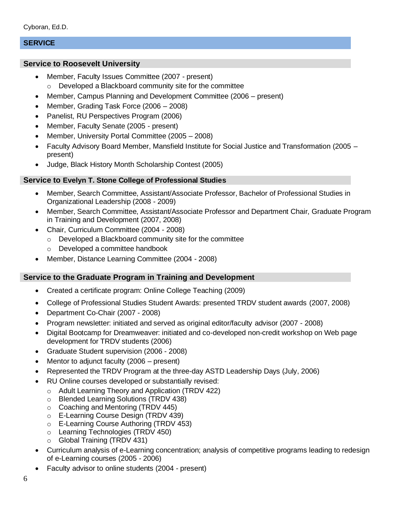# **SERVICE**

# **Service to Roosevelt University**

- Member, Faculty Issues Committee (2007 present) o Developed a Blackboard community site for the committee
- Member, Campus Planning and Development Committee (2006 present)
- Member, Grading Task Force (2006 2008)
- Panelist, RU Perspectives Program (2006)
- Member, Faculty Senate (2005 present)
- Member, University Portal Committee (2005 2008)
- Faculty Advisory Board Member, Mansfield Institute for Social Justice and Transformation (2005 present)
- Judge, Black History Month Scholarship Contest (2005)

#### **Service to Evelyn T. Stone College of Professional Studies**

- Member, Search Committee, Assistant/Associate Professor, Bachelor of Professional Studies in Organizational Leadership (2008 - 2009)
- Member, Search Committee, Assistant/Associate Professor and Department Chair, Graduate Program in Training and Development (2007, 2008)
- Chair, Curriculum Committee (2004 2008)
	- o Developed a Blackboard community site for the committee
	- o Developed a committee handbook
- Member, Distance Learning Committee (2004 2008)

# **Service to the Graduate Program in Training and Development**

- Created a certificate program: Online College Teaching (2009)
- College of Professional Studies Student Awards: presented TRDV student awards (2007, 2008)
- Department Co-Chair (2007 2008)
- Program newsletter: initiated and served as original editor/faculty advisor (2007 2008)
- Digital Bootcamp for Dreamweaver: initiated and co-developed non-credit workshop on Web page development for TRDV students (2006)
- Graduate Student supervision (2006 2008)
- Mentor to adjunct faculty (2006 present)
- Represented the TRDV Program at the three-day ASTD Leadership Days (July, 2006)
- RU Online courses developed or substantially revised:
	- o Adult Learning Theory and Application (TRDV 422)
	- o Blended Learning Solutions (TRDV 438)
	- o Coaching and Mentoring (TRDV 445)
	- o E-Learning Course Design (TRDV 439)
	- o E-Learning Course Authoring (TRDV 453)
	- o Learning Technologies (TRDV 450)
	- o Global Training (TRDV 431)
- Curriculum analysis of e-Learning concentration; analysis of competitive programs leading to redesign of e-Learning courses (2005 - 2006)
- Faculty advisor to online students (2004 present)